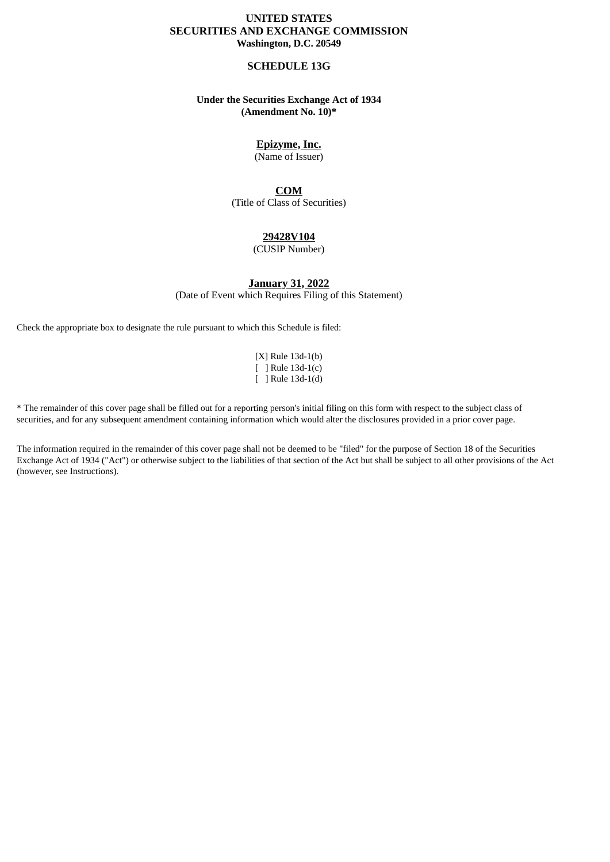## **UNITED STATES SECURITIES AND EXCHANGE COMMISSION Washington, D.C. 20549**

### **SCHEDULE 13G**

## **Under the Securities Exchange Act of 1934 (Amendment No. 10)\***

# **Epizyme, Inc.**

(Name of Issuer)

## **COM**

(Title of Class of Securities)

## **29428V104**

(CUSIP Number)

**January 31, 2022**

(Date of Event which Requires Filing of this Statement)

Check the appropriate box to designate the rule pursuant to which this Schedule is filed:

[X] Rule 13d-1(b) [ ] Rule 13d-1(c) [ ] Rule 13d-1(d)

\* The remainder of this cover page shall be filled out for a reporting person's initial filing on this form with respect to the subject class of securities, and for any subsequent amendment containing information which would alter the disclosures provided in a prior cover page.

The information required in the remainder of this cover page shall not be deemed to be "filed" for the purpose of Section 18 of the Securities Exchange Act of 1934 ("Act") or otherwise subject to the liabilities of that section of the Act but shall be subject to all other provisions of the Act (however, see Instructions).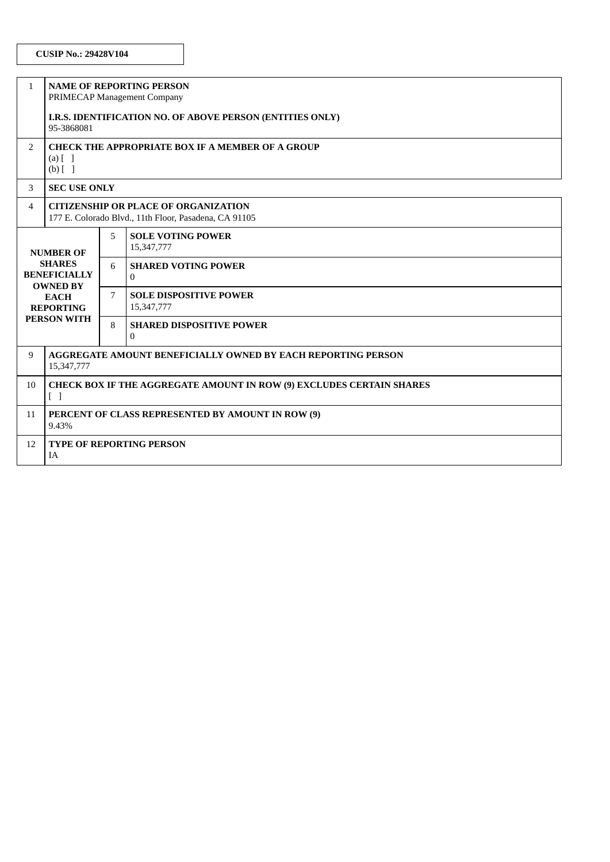| $\mathbf{1}$                                                                                                                         | <b>NAME OF REPORTING PERSON</b><br>PRIMECAP Management Company                                       |   |                                             |  |  |  |  |
|--------------------------------------------------------------------------------------------------------------------------------------|------------------------------------------------------------------------------------------------------|---|---------------------------------------------|--|--|--|--|
|                                                                                                                                      | I.R.S. IDENTIFICATION NO. OF ABOVE PERSON (ENTITIES ONLY)<br>95-3868081                              |   |                                             |  |  |  |  |
| $\overline{2}$                                                                                                                       | <b>CHECK THE APPROPRIATE BOX IF A MEMBER OF A GROUP</b><br>$(a)$ $\lceil$ $\rceil$<br>$(b)$ []       |   |                                             |  |  |  |  |
| 3                                                                                                                                    | <b>SEC USE ONLY</b>                                                                                  |   |                                             |  |  |  |  |
| 4                                                                                                                                    | <b>CITIZENSHIP OR PLACE OF ORGANIZATION</b><br>177 E. Colorado Blvd., 11th Floor, Pasadena, CA 91105 |   |                                             |  |  |  |  |
| <b>NUMBER OF</b><br><b>SHARES</b><br><b>BENEFICIALLY</b><br><b>OWNED BY</b><br><b>EACH</b><br><b>REPORTING</b><br><b>PERSON WITH</b> |                                                                                                      | 5 | <b>SOLE VOTING POWER</b><br>15,347,777      |  |  |  |  |
|                                                                                                                                      |                                                                                                      | 6 | <b>SHARED VOTING POWER</b><br>$\Omega$      |  |  |  |  |
|                                                                                                                                      |                                                                                                      | 7 | <b>SOLE DISPOSITIVE POWER</b><br>15,347,777 |  |  |  |  |
|                                                                                                                                      |                                                                                                      | 8 | <b>SHARED DISPOSITIVE POWER</b><br>$\Omega$ |  |  |  |  |
| 9                                                                                                                                    | <b>AGGREGATE AMOUNT BENEFICIALLY OWNED BY EACH REPORTING PERSON</b><br>15,347,777                    |   |                                             |  |  |  |  |
| 10                                                                                                                                   | <b>CHECK BOX IF THE AGGREGATE AMOUNT IN ROW (9) EXCLUDES CERTAIN SHARES</b><br>$\Box$                |   |                                             |  |  |  |  |
| 11                                                                                                                                   | PERCENT OF CLASS REPRESENTED BY AMOUNT IN ROW (9)<br>9.43%                                           |   |                                             |  |  |  |  |
| 12                                                                                                                                   | <b>TYPE OF REPORTING PERSON</b><br><b>IA</b>                                                         |   |                                             |  |  |  |  |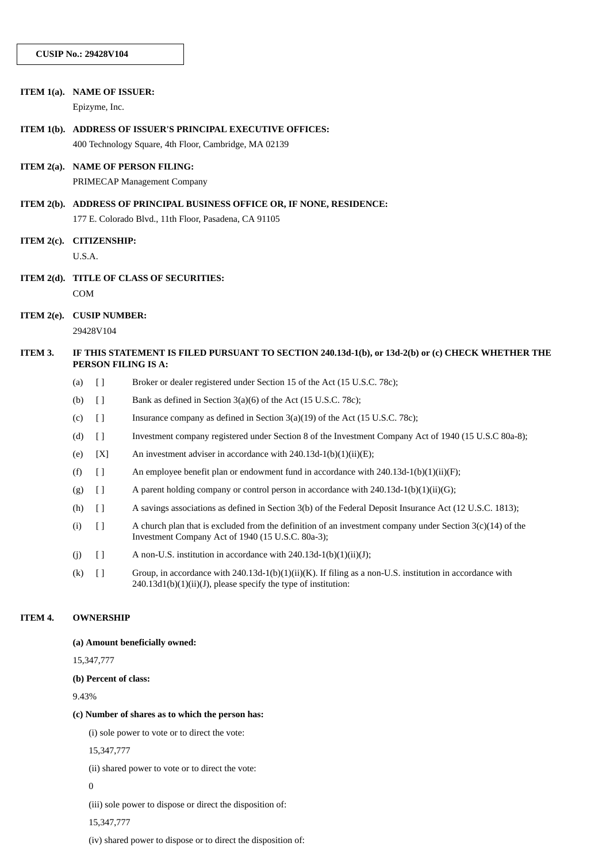|     | ITEM 1(a). NAME OF ISSUER: |                                                                                                                                  | Epizyme, Inc.                     |                                                                                                                                                                            |  |  |  |
|-----|----------------------------|----------------------------------------------------------------------------------------------------------------------------------|-----------------------------------|----------------------------------------------------------------------------------------------------------------------------------------------------------------------------|--|--|--|
|     | ITEM $1(b)$ .              | ADDRESS OF ISSUER'S PRINCIPAL EXECUTIVE OFFICES:<br>400 Technology Square, 4th Floor, Cambridge, MA 02139                        |                                   |                                                                                                                                                                            |  |  |  |
|     | ITEM $2(a)$ .              | <b>NAME OF PERSON FILING:</b><br>PRIMECAP Management Company                                                                     |                                   |                                                                                                                                                                            |  |  |  |
|     |                            | ITEM 2(b). ADDRESS OF PRINCIPAL BUSINESS OFFICE OR, IF NONE, RESIDENCE:<br>177 E. Colorado Blvd., 11th Floor, Pasadena, CA 91105 |                                   |                                                                                                                                                                            |  |  |  |
|     | ITEM $2(c)$ .              | <b>CITIZENSHIP:</b><br>U.S.A.                                                                                                    |                                   |                                                                                                                                                                            |  |  |  |
| COM |                            |                                                                                                                                  |                                   | ITEM 2(d). TITLE OF CLASS OF SECURITIES:                                                                                                                                   |  |  |  |
|     | ITEM $2(e)$ .              |                                                                                                                                  | <b>CUSIP NUMBER:</b><br>29428V104 |                                                                                                                                                                            |  |  |  |
|     | ITEM 3.                    | IF THIS STATEMENT IS FILED PURSUANT TO SECTION 240.13d-1(b), or 13d-2(b) or (c) CHECK WHETHER THE<br>PERSON FILING IS A:         |                                   |                                                                                                                                                                            |  |  |  |
|     |                            | (a)                                                                                                                              | $\Box$                            | Broker or dealer registered under Section 15 of the Act (15 U.S.C. 78c);                                                                                                   |  |  |  |
|     |                            | (b)                                                                                                                              | $[ \ ]$                           | Bank as defined in Section 3(a)(6) of the Act (15 U.S.C. 78c);                                                                                                             |  |  |  |
|     |                            | (c)                                                                                                                              | $[ \ ]$                           | Insurance company as defined in Section $3(a)(19)$ of the Act $(15 \text{ U.S.C. } 78c)$ ;                                                                                 |  |  |  |
|     |                            | (d)                                                                                                                              | $[ \ ]$                           | Investment company registered under Section 8 of the Investment Company Act of 1940 (15 U.S.C 80a-8);                                                                      |  |  |  |
|     |                            | (e)                                                                                                                              | [X]                               | An investment adviser in accordance with $240.13d-1(b)(1)(ii)(E)$ ;                                                                                                        |  |  |  |
|     |                            | (f)                                                                                                                              | $[ \ ]$                           | An employee benefit plan or endowment fund in accordance with 240.13d-1(b)(1)(ii)(F);                                                                                      |  |  |  |
|     |                            | (g)                                                                                                                              | $[ \ ]$                           | A parent holding company or control person in accordance with $240.13d-1(b)(1)(ii)(G)$ ;                                                                                   |  |  |  |
|     |                            | (h)                                                                                                                              | $[ \ ]$                           | A savings associations as defined in Section 3(b) of the Federal Deposit Insurance Act (12 U.S.C. 1813);                                                                   |  |  |  |
|     |                            | (i)                                                                                                                              | $[ \ ]$                           | A church plan that is excluded from the definition of an investment company under Section $3(c)(14)$ of the<br>Investment Company Act of 1940 (15 U.S.C. 80a-3);           |  |  |  |
|     |                            | (j)                                                                                                                              | $[ \ ]$                           | A non-U.S. institution in accordance with 240.13d-1(b)(1)(ii)(J);                                                                                                          |  |  |  |
|     |                            | (k)                                                                                                                              | $[ \ ]$                           | Group, in accordance with 240.13d-1(b)(1)(ii)(K). If filing as a non-U.S. institution in accordance with<br>240.13d1(b)(1)(ii)(J), please specify the type of institution: |  |  |  |
|     | ITEM 4.                    | <b>OWNERSHIP</b>                                                                                                                 |                                   |                                                                                                                                                                            |  |  |  |
|     |                            | (a) Amount beneficially owned:                                                                                                   |                                   |                                                                                                                                                                            |  |  |  |
|     |                            | 15,347,777                                                                                                                       |                                   |                                                                                                                                                                            |  |  |  |

**(b) Percent of class:**

9.43%

### **(c) Number of shares as to which the person has:**

(i) sole power to vote or to direct the vote:

15,347,777

(ii) shared power to vote or to direct the vote:

0

(iii) sole power to dispose or direct the disposition of:

15,347,777

(iv) shared power to dispose or to direct the disposition of: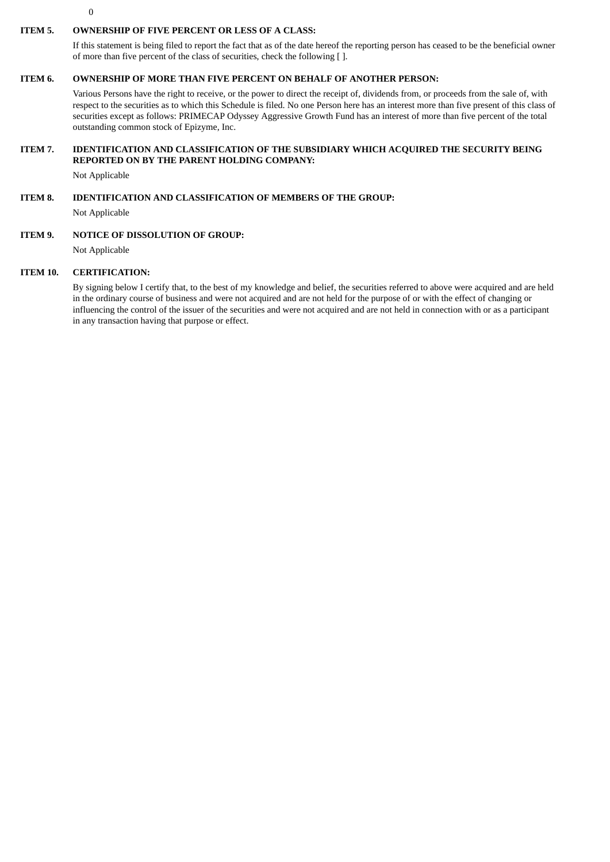$\theta$ 

#### **ITEM 5. OWNERSHIP OF FIVE PERCENT OR LESS OF A CLASS:**

If this statement is being filed to report the fact that as of the date hereof the reporting person has ceased to be the beneficial owner of more than five percent of the class of securities, check the following [ ].

#### **ITEM 6. OWNERSHIP OF MORE THAN FIVE PERCENT ON BEHALF OF ANOTHER PERSON:**

Various Persons have the right to receive, or the power to direct the receipt of, dividends from, or proceeds from the sale of, with respect to the securities as to which this Schedule is filed. No one Person here has an interest more than five present of this class of securities except as follows: PRIMECAP Odyssey Aggressive Growth Fund has an interest of more than five percent of the total outstanding common stock of Epizyme, Inc.

### **ITEM 7. IDENTIFICATION AND CLASSIFICATION OF THE SUBSIDIARY WHICH ACQUIRED THE SECURITY BEING REPORTED ON BY THE PARENT HOLDING COMPANY:**

Not Applicable

### **ITEM 8. IDENTIFICATION AND CLASSIFICATION OF MEMBERS OF THE GROUP:**

Not Applicable

#### **ITEM 9. NOTICE OF DISSOLUTION OF GROUP:**

Not Applicable

#### **ITEM 10. CERTIFICATION:**

By signing below I certify that, to the best of my knowledge and belief, the securities referred to above were acquired and are held in the ordinary course of business and were not acquired and are not held for the purpose of or with the effect of changing or influencing the control of the issuer of the securities and were not acquired and are not held in connection with or as a participant in any transaction having that purpose or effect.